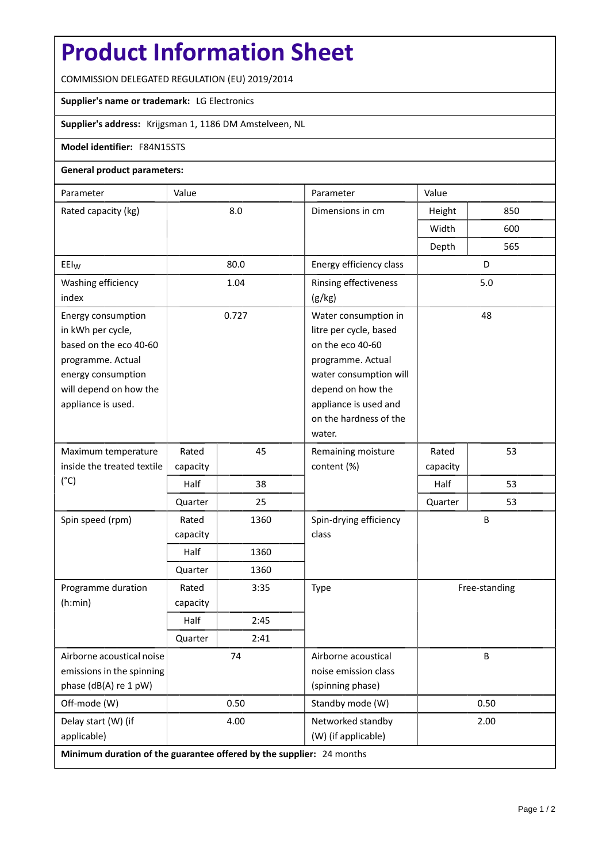# **Product Information Sheet**

COMMISSION DELEGATED REGULATION (EU) 2019/2014

## **Supplier's name or trademark:** LG Electronics

## **Supplier's address:** Krijgsman 1, 1186 DM Amstelveen, NL

### **Model identifier:** F84N15STS

### **General product parameters:**

| Parameter                                                            | Value    |      | Parameter                                   | Value         |     |
|----------------------------------------------------------------------|----------|------|---------------------------------------------|---------------|-----|
| Rated capacity (kg)                                                  | 8.0      |      | Dimensions in cm                            | Height        | 850 |
|                                                                      |          |      |                                             | Width         | 600 |
|                                                                      |          |      |                                             | Depth         | 565 |
| EEI <sub>W</sub>                                                     | 80.0     |      | Energy efficiency class                     | D             |     |
| Washing efficiency                                                   | 1.04     |      | Rinsing effectiveness                       | 5.0           |     |
| index                                                                |          |      | (g/kg)                                      |               |     |
| Energy consumption                                                   | 0.727    |      | Water consumption in                        | 48            |     |
| in kWh per cycle,                                                    |          |      | litre per cycle, based                      |               |     |
| based on the eco 40-60                                               |          |      | on the eco 40-60                            |               |     |
| programme. Actual                                                    |          |      | programme. Actual                           |               |     |
| energy consumption<br>will depend on how the                         |          |      | water consumption will<br>depend on how the |               |     |
| appliance is used.                                                   |          |      | appliance is used and                       |               |     |
|                                                                      |          |      | on the hardness of the                      |               |     |
|                                                                      |          |      | water.                                      |               |     |
| Maximum temperature                                                  | Rated    | 45   | Remaining moisture                          | Rated         | 53  |
| inside the treated textile                                           | capacity |      | content (%)                                 | capacity      |     |
| $(^{\circ}C)$                                                        | Half     | 38   |                                             | Half          | 53  |
|                                                                      | Quarter  | 25   |                                             | Quarter       | 53  |
| Spin speed (rpm)                                                     | Rated    | 1360 | Spin-drying efficiency                      | B             |     |
|                                                                      | capacity |      | class                                       |               |     |
|                                                                      | Half     | 1360 |                                             |               |     |
|                                                                      | Quarter  | 1360 |                                             |               |     |
| Programme duration                                                   | Rated    | 3:35 | Type                                        | Free-standing |     |
| (h:min)                                                              | capacity |      |                                             |               |     |
|                                                                      | Half     | 2:45 |                                             |               |     |
|                                                                      | Quarter  | 2:41 |                                             |               |     |
| Airborne acoustical noise                                            | 74       |      | Airborne acoustical                         | B             |     |
| emissions in the spinning                                            |          |      | noise emission class                        |               |     |
| phase (dB(A) re 1 pW)                                                |          |      | (spinning phase)                            |               |     |
| Off-mode (W)                                                         | 0.50     |      | Standby mode (W)                            | 0.50          |     |
| Delay start (W) (if                                                  | 4.00     |      | Networked standby                           | 2.00          |     |
| applicable)                                                          |          |      | (W) (if applicable)                         |               |     |
| Minimum duration of the guarantee offered by the supplier: 24 months |          |      |                                             |               |     |